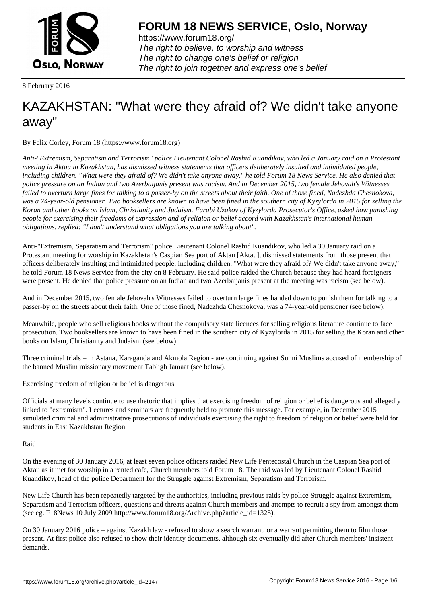

https://www.forum18.org/ The right to believe, to worship and witness The right to change one's belief or religion [The right to join together a](https://www.forum18.org/)nd express one's belief

8 February 2016

## [KAZAKHSTAN:](https://www.forum18.org) "What were they afraid of? We didn't take anyone away"

By Felix Corley, Forum 18 (https://www.forum18.org)

*Anti-"Extremism, Separatism and Terrorism" police Lieutenant Colonel Rashid Kuandikov, who led a January raid on a Protestant meeting in Aktau in Kazakhstan, has dismissed witness statements that officers deliberately insulted and intimidated people, including children. "What were they afraid of? We didn't take anyone away," he told Forum 18 News Service. He also denied that police pressure on an Indian and two Azerbaijanis present was racism. And in December 2015, two female Jehovah's Witnesses failed to overturn large fines for talking to a passer-by on the streets about their faith. One of those fined, Nadezhda Chesnokova, was a 74-year-old pensioner. Two booksellers are known to have been fined in the southern city of Kyzylorda in 2015 for selling the Koran and other books on Islam, Christianity and Judaism. Farabi Uzakov of Kyzylorda Prosecutor's Office, asked how punishing people for exercising their freedoms of expression and of religion or belief accord with Kazakhstan's international human obligations, replied: "I don't understand what obligations you are talking about".*

Anti-"Extremism, Separatism and Terrorism" police Lieutenant Colonel Rashid Kuandikov, who led a 30 January raid on a Protestant meeting for worship in Kazakhstan's Caspian Sea port of Aktau [Aktau], dismissed statements from those present that officers deliberately insulting and intimidated people, including children. "What were they afraid of? We didn't take anyone away," he told Forum 18 News Service from the city on 8 February. He said police raided the Church because they had heard foreigners were present. He denied that police pressure on an Indian and two Azerbaijanis present at the meeting was racism (see below).

And in December 2015, two female Jehovah's Witnesses failed to overturn large fines handed down to punish them for talking to a passer-by on the streets about their faith. One of those fined, Nadezhda Chesnokova, was a 74-year-old pensioner (see below).

Meanwhile, people who sell religious books without the compulsory state licences for selling religious literature continue to face prosecution. Two booksellers are known to have been fined in the southern city of Kyzylorda in 2015 for selling the Koran and other books on Islam, Christianity and Judaism (see below).

Three criminal trials – in Astana, Karaganda and Akmola Region - are continuing against Sunni Muslims accused of membership of the banned Muslim missionary movement Tabligh Jamaat (see below).

Exercising freedom of religion or belief is dangerous

Officials at many levels continue to use rhetoric that implies that exercising freedom of religion or belief is dangerous and allegedly linked to "extremism". Lectures and seminars are frequently held to promote this message. For example, in December 2015 simulated criminal and administrative prosecutions of individuals exercising the right to freedom of religion or belief were held for students in East Kazakhstan Region.

Raid

On the evening of 30 January 2016, at least seven police officers raided New Life Pentecostal Church in the Caspian Sea port of Aktau as it met for worship in a rented cafe, Church members told Forum 18. The raid was led by Lieutenant Colonel Rashid Kuandikov, head of the police Department for the Struggle against Extremism, Separatism and Terrorism.

New Life Church has been repeatedly targeted by the authorities, including previous raids by police Struggle against Extremism, Separatism and Terrorism officers, questions and threats against Church members and attempts to recruit a spy from amongst them (see eg. F18News 10 July 2009 http://www.forum18.org/Archive.php?article\_id=1325).

On 30 January 2016 police – against Kazakh law - refused to show a search warrant, or a warrant permitting them to film those present. At first police also refused to show their identity documents, although six eventually did after Church members' insistent demands.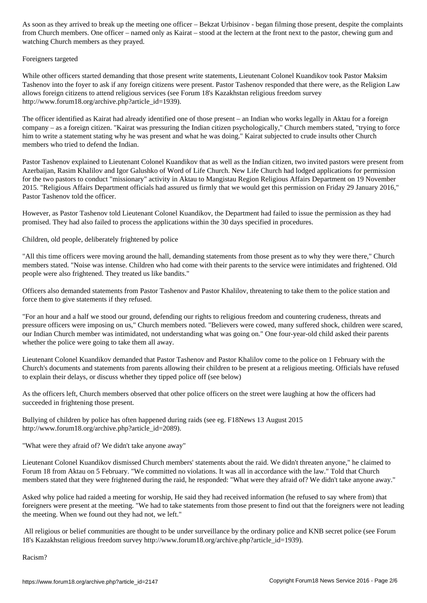from Church members. One officer – named only as Kairat – stood at the lectern at the front next to the pastor, chewing gum and watching Church members as they prayed.

Foreigners targeted

While other officers started demanding that those present write statements, Lieutenant Colonel Kuandikov took Pastor Maksim Tashenov into the foyer to ask if any foreign citizens were present. Pastor Tashenov responded that there were, as the Religion Law allows foreign citizens to attend religious services (see Forum 18's Kazakhstan religious freedom survey http://www.forum18.org/archive.php?article\_id=1939).

The officer identified as Kairat had already identified one of those present – an Indian who works legally in Aktau for a foreign company – as a foreign citizen. "Kairat was pressuring the Indian citizen psychologically," Church members stated, "trying to force him to write a statement stating why he was present and what he was doing." Kairat subjected to crude insults other Church members who tried to defend the Indian.

Pastor Tashenov explained to Lieutenant Colonel Kuandikov that as well as the Indian citizen, two invited pastors were present from Azerbaijan, Rasim Khalilov and Igor Galushko of Word of Life Church. New Life Church had lodged applications for permission for the two pastors to conduct "missionary" activity in Aktau to Mangistau Region Religious Affairs Department on 19 November 2015. "Religious Affairs Department officials had assured us firmly that we would get this permission on Friday 29 January 2016," Pastor Tashenov told the officer.

However, as Pastor Tashenov told Lieutenant Colonel Kuandikov, the Department had failed to issue the permission as they had promised. They had also failed to process the applications within the 30 days specified in procedures.

Children, old people, deliberately frightened by police

"All this time officers were moving around the hall, demanding statements from those present as to why they were there," Church members stated. "Noise was intense. Children who had come with their parents to the service were intimidates and frightened. Old people were also frightened. They treated us like bandits."

Officers also demanded statements from Pastor Tashenov and Pastor Khalilov, threatening to take them to the police station and force them to give statements if they refused.

"For an hour and a half we stood our ground, defending our rights to religious freedom and countering crudeness, threats and pressure officers were imposing on us," Church members noted. "Believers were cowed, many suffered shock, children were scared, our Indian Church member was intimidated, not understanding what was going on." One four-year-old child asked their parents whether the police were going to take them all away.

Lieutenant Colonel Kuandikov demanded that Pastor Tashenov and Pastor Khalilov come to the police on 1 February with the Church's documents and statements from parents allowing their children to be present at a religious meeting. Officials have refused to explain their delays, or discuss whether they tipped police off (see below)

As the officers left, Church members observed that other police officers on the street were laughing at how the officers had succeeded in frightening those present.

Bullying of children by police has often happened during raids (see eg. F18News 13 August 2015 http://www.forum18.org/archive.php?article\_id=2089).

"What were they afraid of? We didn't take anyone away"

Lieutenant Colonel Kuandikov dismissed Church members' statements about the raid. We didn't threaten anyone," he claimed to Forum 18 from Aktau on 5 February. "We committed no violations. It was all in accordance with the law." Told that Church members stated that they were frightened during the raid, he responded: "What were they afraid of? We didn't take anyone away."

Asked why police had raided a meeting for worship, He said they had received information (he refused to say where from) that foreigners were present at the meeting. "We had to take statements from those present to find out that the foreigners were not leading the meeting. When we found out they had not, we left."

 All religious or belief communities are thought to be under surveillance by the ordinary police and KNB secret police (see Forum 18's Kazakhstan religious freedom survey http://www.forum18.org/archive.php?article\_id=1939).

Racism?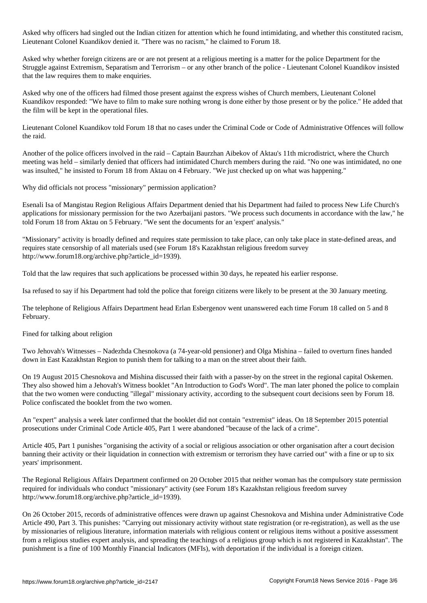Asked why officers had singled out the Indian citizen for attention which he found intimidating, and whether this constituted racism, Lieutenant Colonel Kuandikov denied it. "There was no racism," he claimed to Forum 18.

Asked why whether foreign citizens are or are not present at a religious meeting is a matter for the police Department for the Struggle against Extremism, Separatism and Terrorism – or any other branch of the police - Lieutenant Colonel Kuandikov insisted that the law requires them to make enquiries.

Asked why one of the officers had filmed those present against the express wishes of Church members, Lieutenant Colonel Kuandikov responded: "We have to film to make sure nothing wrong is done either by those present or by the police." He added that the film will be kept in the operational files.

Lieutenant Colonel Kuandikov told Forum 18 that no cases under the Criminal Code or Code of Administrative Offences will follow the raid.

Another of the police officers involved in the raid – Captain Baurzhan Aibekov of Aktau's 11th microdistrict, where the Church meeting was held – similarly denied that officers had intimidated Church members during the raid. "No one was intimidated, no one was insulted," he insisted to Forum 18 from Aktau on 4 February. "We just checked up on what was happening."

Why did officials not process "missionary" permission application?

Esenali Isa of Mangistau Region Religious Affairs Department denied that his Department had failed to process New Life Church's applications for missionary permission for the two Azerbaijani pastors. "We process such documents in accordance with the law," he told Forum 18 from Aktau on 5 February. "We sent the documents for an 'expert' analysis."

"Missionary" activity is broadly defined and requires state permission to take place, can only take place in state-defined areas, and requires state censorship of all materials used (see Forum 18's Kazakhstan religious freedom survey http://www.forum18.org/archive.php?article\_id=1939).

Told that the law requires that such applications be processed within 30 days, he repeated his earlier response.

Isa refused to say if his Department had told the police that foreign citizens were likely to be present at the 30 January meeting.

The telephone of Religious Affairs Department head Erlan Esbergenov went unanswered each time Forum 18 called on 5 and 8 February.

Fined for talking about religion

Two Jehovah's Witnesses – Nadezhda Chesnokova (a 74-year-old pensioner) and Olga Mishina – failed to overturn fines handed down in East Kazakhstan Region to punish them for talking to a man on the street about their faith.

On 19 August 2015 Chesnokova and Mishina discussed their faith with a passer-by on the street in the regional capital Oskemen. They also showed him a Jehovah's Witness booklet "An Introduction to God's Word". The man later phoned the police to complain that the two women were conducting "illegal" missionary activity, according to the subsequent court decisions seen by Forum 18. Police confiscated the booklet from the two women.

An "expert" analysis a week later confirmed that the booklet did not contain "extremist" ideas. On 18 September 2015 potential prosecutions under Criminal Code Article 405, Part 1 were abandoned "because of the lack of a crime".

Article 405, Part 1 punishes "organising the activity of a social or religious association or other organisation after a court decision banning their activity or their liquidation in connection with extremism or terrorism they have carried out" with a fine or up to six years' imprisonment.

The Regional Religious Affairs Department confirmed on 20 October 2015 that neither woman has the compulsory state permission required for individuals who conduct "missionary" activity (see Forum 18's Kazakhstan religious freedom survey http://www.forum18.org/archive.php?article\_id=1939).

On 26 October 2015, records of administrative offences were drawn up against Chesnokova and Mishina under Administrative Code Article 490, Part 3. This punishes: "Carrying out missionary activity without state registration (or re-registration), as well as the use by missionaries of religious literature, information materials with religious content or religious items without a positive assessment from a religious studies expert analysis, and spreading the teachings of a religious group which is not registered in Kazakhstan". The punishment is a fine of 100 Monthly Financial Indicators (MFIs), with deportation if the individual is a foreign citizen.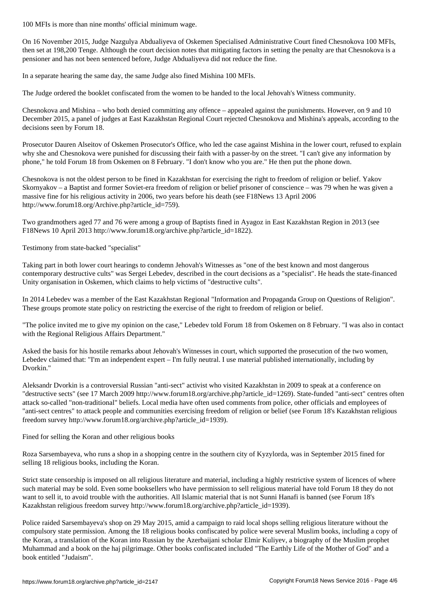On 16 November 2015, Judge Nazgulya Abdualiyeva of Oskemen Specialised Administrative Court fined Chesnokova 100 MFIs, then set at 198,200 Tenge. Although the court decision notes that mitigating factors in setting the penalty are that Chesnokova is a pensioner and has not been sentenced before, Judge Abdualiyeva did not reduce the fine.

In a separate hearing the same day, the same Judge also fined Mishina 100 MFIs.

The Judge ordered the booklet confiscated from the women to be handed to the local Jehovah's Witness community.

Chesnokova and Mishina – who both denied committing any offence – appealed against the punishments. However, on 9 and 10 December 2015, a panel of judges at East Kazakhstan Regional Court rejected Chesnokova and Mishina's appeals, according to the decisions seen by Forum 18.

Prosecutor Dauren Alseitov of Oskemen Prosecutor's Office, who led the case against Mishina in the lower court, refused to explain why she and Chesnokova were punished for discussing their faith with a passer-by on the street. "I can't give any information by phone," he told Forum 18 from Oskemen on 8 February. "I don't know who you are." He then put the phone down.

Chesnokova is not the oldest person to be fined in Kazakhstan for exercising the right to freedom of religion or belief. Yakov Skornyakov – a Baptist and former Soviet-era freedom of religion or belief prisoner of conscience – was 79 when he was given a massive fine for his religious activity in 2006, two years before his death (see F18News 13 April 2006 http://www.forum18.org/Archive.php?article\_id=759).

Two grandmothers aged 77 and 76 were among a group of Baptists fined in Ayagoz in East Kazakhstan Region in 2013 (see F18News 10 April 2013 http://www.forum18.org/archive.php?article\_id=1822).

Testimony from state-backed "specialist"

Taking part in both lower court hearings to condemn Jehovah's Witnesses as "one of the best known and most dangerous contemporary destructive cults" was Sergei Lebedev, described in the court decisions as a "specialist". He heads the state-financed Unity organisation in Oskemen, which claims to help victims of "destructive cults".

In 2014 Lebedev was a member of the East Kazakhstan Regional "Information and Propaganda Group on Questions of Religion". These groups promote state policy on restricting the exercise of the right to freedom of religion or belief.

"The police invited me to give my opinion on the case," Lebedev told Forum 18 from Oskemen on 8 February. "I was also in contact with the Regional Religious Affairs Department."

Asked the basis for his hostile remarks about Jehovah's Witnesses in court, which supported the prosecution of the two women, Lebedev claimed that: "I'm an independent expert – I'm fully neutral. I use material published internationally, including by Dvorkin."

Aleksandr Dvorkin is a controversial Russian "anti-sect" activist who visited Kazakhstan in 2009 to speak at a conference on "destructive sects" (see 17 March 2009 http://www.forum18.org/archive.php?article\_id=1269). State-funded "anti-sect" centres often attack so-called "non-traditional" beliefs. Local media have often used comments from police, other officials and employees of "anti-sect centres" to attack people and communities exercising freedom of religion or belief (see Forum 18's Kazakhstan religious freedom survey http://www.forum18.org/archive.php?article\_id=1939).

Fined for selling the Koran and other religious books

Roza Sarsembayeva, who runs a shop in a shopping centre in the southern city of Kyzylorda, was in September 2015 fined for selling 18 religious books, including the Koran.

Strict state censorship is imposed on all religious literature and material, including a highly restrictive system of licences of where such material may be sold. Even some booksellers who have permission to sell religious material have told Forum 18 they do not want to sell it, to avoid trouble with the authorities. All Islamic material that is not Sunni Hanafi is banned (see Forum 18's Kazakhstan religious freedom survey http://www.forum18.org/archive.php?article\_id=1939).

Police raided Sarsembayeva's shop on 29 May 2015, amid a campaign to raid local shops selling religious literature without the compulsory state permission. Among the 18 religious books confiscated by police were several Muslim books, including a copy of the Koran, a translation of the Koran into Russian by the Azerbaijani scholar Elmir Kuliyev, a biography of the Muslim prophet Muhammad and a book on the haj pilgrimage. Other books confiscated included "The Earthly Life of the Mother of God" and a book entitled "Judaism".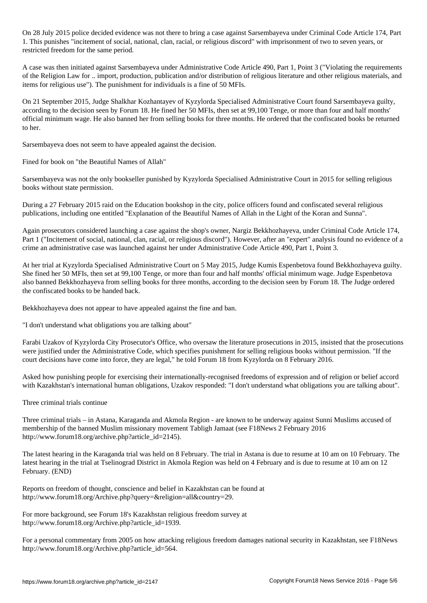On 28 July 2015 police decided evidence was not there to bring a case against Sarsembayeva under Criminal Code Article 174, Part 1. This punishes "incitement of social, national, clan, racial, or religious discord" with imprisonment of two to seven years, or restricted freedom for the same period.

A case was then initiated against Sarsembayeva under Administrative Code Article 490, Part 1, Point 3 ("Violating the requirements of the Religion Law for .. import, production, publication and/or distribution of religious literature and other religious materials, and items for religious use"). The punishment for individuals is a fine of 50 MFIs.

On 21 September 2015, Judge Shalkhar Kozhantayev of Kyzylorda Specialised Administrative Court found Sarsembayeva guilty, according to the decision seen by Forum 18. He fined her 50 MFIs, then set at 99,100 Tenge, or more than four and half months' official minimum wage. He also banned her from selling books for three months. He ordered that the confiscated books be returned to her.

Sarsembayeva does not seem to have appealed against the decision.

Fined for book on "the Beautiful Names of Allah"

Sarsembayeva was not the only bookseller punished by Kyzylorda Specialised Administrative Court in 2015 for selling religious books without state permission.

During a 27 February 2015 raid on the Education bookshop in the city, police officers found and confiscated several religious publications, including one entitled "Explanation of the Beautiful Names of Allah in the Light of the Koran and Sunna".

Again prosecutors considered launching a case against the shop's owner, Nargiz Bekkhozhayeva, under Criminal Code Article 174, Part 1 ("Incitement of social, national, clan, racial, or religious discord"). However, after an "expert" analysis found no evidence of a crime an administrative case was launched against her under Administrative Code Article 490, Part 1, Point 3.

At her trial at Kyzylorda Specialised Administrative Court on 5 May 2015, Judge Kumis Espenbetova found Bekkhozhayeva guilty. She fined her 50 MFIs, then set at 99,100 Tenge, or more than four and half months' official minimum wage. Judge Espenbetova also banned Bekkhozhayeva from selling books for three months, according to the decision seen by Forum 18. The Judge ordered the confiscated books to be handed back.

Bekkhozhayeva does not appear to have appealed against the fine and ban.

"I don't understand what obligations you are talking about"

Farabi Uzakov of Kyzylorda City Prosecutor's Office, who oversaw the literature prosecutions in 2015, insisted that the prosecutions were justified under the Administrative Code, which specifies punishment for selling religious books without permission. "If the court decisions have come into force, they are legal," he told Forum 18 from Kyzylorda on 8 February 2016.

Asked how punishing people for exercising their internationally-recognised freedoms of expression and of religion or belief accord with Kazakhstan's international human obligations, Uzakov responded: "I don't understand what obligations you are talking about".

Three criminal trials continue

Three criminal trials – in Astana, Karaganda and Akmola Region - are known to be underway against Sunni Muslims accused of membership of the banned Muslim missionary movement Tabligh Jamaat (see F18News 2 February 2016 http://www.forum18.org/archive.php?article\_id=2145).

The latest hearing in the Karaganda trial was held on 8 February. The trial in Astana is due to resume at 10 am on 10 February. The latest hearing in the trial at Tselinograd District in Akmola Region was held on 4 February and is due to resume at 10 am on 12 February. (END)

Reports on freedom of thought, conscience and belief in Kazakhstan can be found at http://www.forum18.org/Archive.php?query=&religion=all&country=29.

For more background, see Forum 18's Kazakhstan religious freedom survey at http://www.forum18.org/Archive.php?article\_id=1939.

For a personal commentary from 2005 on how attacking religious freedom damages national security in Kazakhstan, see F18News http://www.forum18.org/Archive.php?article\_id=564.